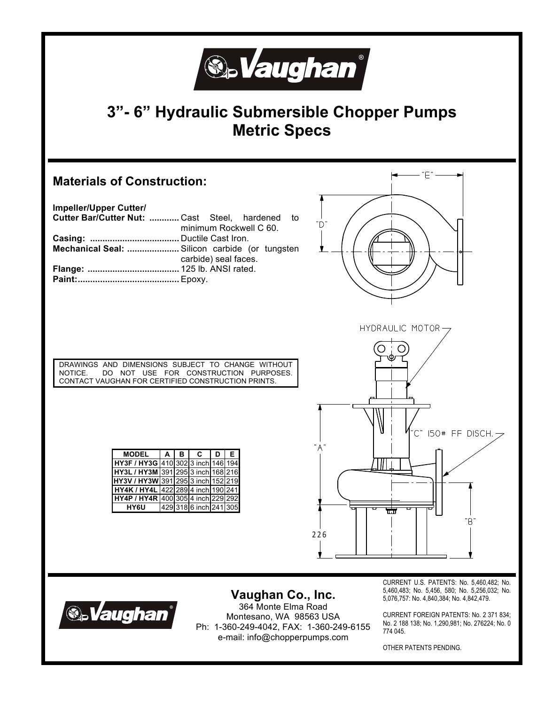

## **3"- 6" Hydraulic Submersible Chopper Pumps Metric Specs**



| Impeller/Upper Cutter/                          |                        |  |  |  |  |
|-------------------------------------------------|------------------------|--|--|--|--|
| Cutter Bar/Cutter Nut:  Cast Steel, hardened to |                        |  |  |  |  |
|                                                 | minimum Rockwell C 60. |  |  |  |  |
|                                                 |                        |  |  |  |  |
| Mechanical Seal:  Silicon carbide (or tungsten  |                        |  |  |  |  |
|                                                 | carbide) seal faces.   |  |  |  |  |
|                                                 |                        |  |  |  |  |
|                                                 |                        |  |  |  |  |



DRAWINGS AND DIMENSIONS SUBJECT TO CHANGE WITHOUT NOTICE. DO NOT USE FOR CONSTRUCTION PURPOSES. DO NOT USE FOR CONSTRUCTION PURPOSES. CONTACT VAUGHAN FOR CERTIFIED CONSTRUCTION PRINTS.

| <b>MODEL</b>                       | A | в | C.                     | D. | Е. |
|------------------------------------|---|---|------------------------|----|----|
| HY3F / HY3G 410 302 3 inch 146 194 |   |   |                        |    |    |
| HY3L / HY3M 391 295 3 inch 168 216 |   |   |                        |    |    |
| HY3V / HY3W 391 295 3 inch 152 219 |   |   |                        |    |    |
| HY4K / HY4L 422 289 4 inch 190 241 |   |   |                        |    |    |
| HY4P / HY4R 400 305 4 inch 229 292 |   |   |                        |    |    |
| <b>HY6U</b>                        |   |   | 429 318 6 inch 241 305 |    |    |





**Vaughan Co., Inc.** 

364 Monte Elma Road Montesano, WA 98563 USA Ph: 1-360-249-4042, FAX: 1-360-249-6155 e-mail: info@chopperpumps.com

CURRENT U.S. PATENTS: No. 5,460,482; No. 5,460,483; No. 5,456, 580; No. 5,256,032; No. 5,076,757: No. 4,840,384; No. 4,842,479.

CURRENT FOREIGN PATENTS: No. 2 371 834; No. 2 188 138; No. 1,290,981; No. 276224; No. 0 774 045.

OTHER PATENTS PENDING.